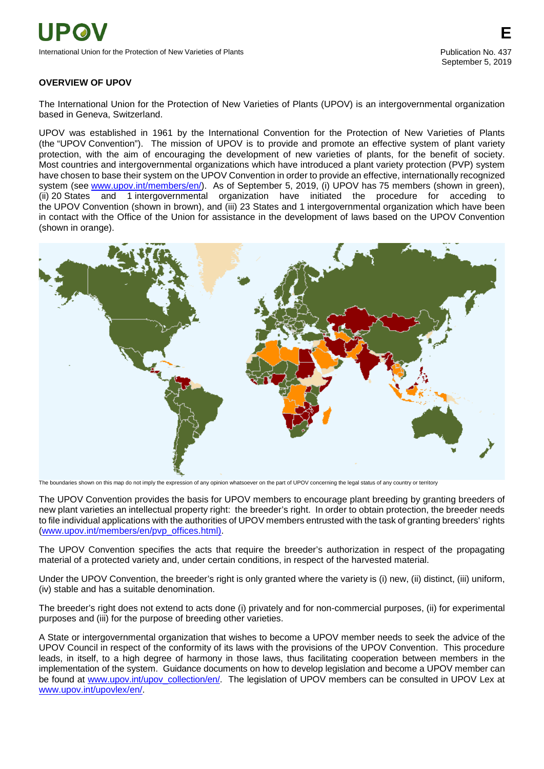## **OVERVIEW OF UPOV**

The International Union for the Protection of New Varieties of Plants (UPOV) is an intergovernmental organization based in Geneva, Switzerland.

UPOV was established in 1961 by the International Convention for the Protection of New Varieties of Plants (the "UPOV Convention"). The mission of UPOV is to provide and promote an effective system of plant variety protection, with the aim of encouraging the development of new varieties of plants, for the benefit of society. Most countries and intergovernmental organizations which have introduced a plant variety protection (PVP) system have chosen to base their system on the UPOV Convention in order to provide an effective, internationally recognized system (see [www.upov.int/members/en/\)](http://www.upov.int/members/en/). As of September 5, 2019, (i) UPOV has 75 members (shown in green), (ii) 20 States and 1 intergovernmental organization have initiated the procedure for acceding to the UPOV Convention (shown in brown), and (iii) 23 States and 1 intergovernmental organization which have been in contact with the Office of the Union for assistance in the development of laws based on the UPOV Convention (shown in orange).



The boundaries shown on this map do not imply the expression of any opinion whatsoever on the part of UPOV concerning the legal status of any country or territory

The UPOV Convention provides the basis for UPOV members to encourage plant breeding by granting breeders of new plant varieties an intellectual property right: the breeder's right. In order to obtain protection, the breeder needs to file individual applications with the authorities of UPOV members entrusted with the task of granting breeders' rights [\(www.upov.int/members/en/pvp\\_offices.html\)](http://www.upov.int/members/en/pvp_offices.html).

The UPOV Convention specifies the acts that require the breeder's authorization in respect of the propagating material of a protected variety and, under certain conditions, in respect of the harvested material.

Under the UPOV Convention, the breeder's right is only granted where the variety is (i) new, (ii) distinct, (iii) uniform, (iv) stable and has a suitable denomination.

The breeder's right does not extend to acts done (i) privately and for non-commercial purposes, (ii) for experimental purposes and (iii) for the purpose of breeding other varieties.

A State or intergovernmental organization that wishes to become a UPOV member needs to seek the advice of the UPOV Council in respect of the conformity of its laws with the provisions of the UPOV Convention. This procedure leads, in itself, to a high degree of harmony in those laws, thus facilitating cooperation between members in the implementation of the system. Guidance documents on how to develop legislation and become a UPOV member can be found at [www.upov.int/upov\\_collection/en/.](http://www.upov.int/upov_collection/en/) The legislation of UPOV members can be consulted in UPOV Lex at [www.upov.int/upovlex/en/.](http://www.upov.int/upovlex/en/)